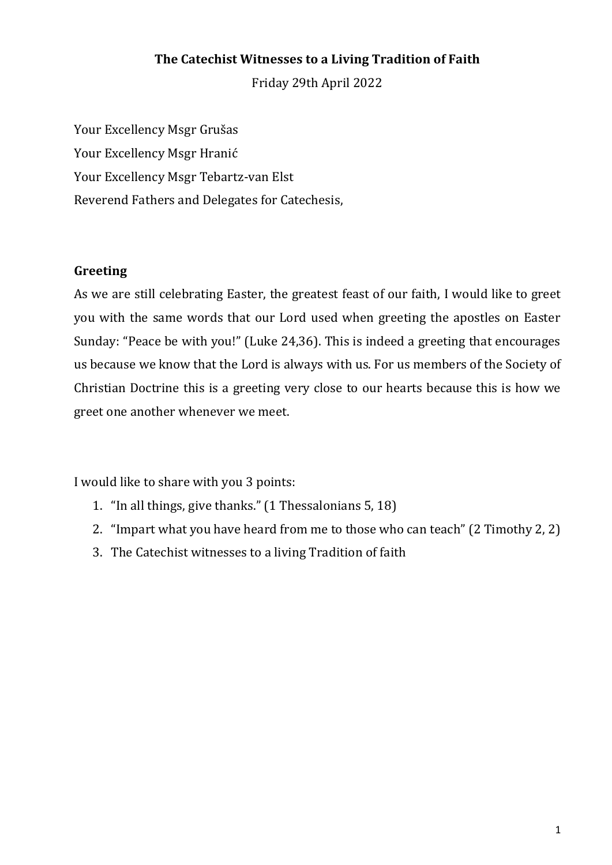## **The Catechist Witnesses to a Living Tradition of Faith**

Friday 29th April 2022

Your Excellency Msgr Grušas Your Excellency Msgr Hranić Your Excellency Msgr Tebartz-van Elst Reverend Fathers and Delegates for Catechesis,

#### **Greeting**

As we are still celebrating Easter, the greatest feast of our faith, I would like to greet you with the same words that our Lord used when greeting the apostles on Easter Sunday: "Peace be with you!" (Luke 24,36). This is indeed a greeting that encourages us because we know that the Lord is always with us. For us members of the Society of Christian Doctrine this is a greeting very close to our hearts because this is how we greet one another whenever we meet.

I would like to share with you 3 points:

- 1. "In all things, give thanks." (1 Thessalonians 5, 18)
- 2. "Impart what you have heard from me to those who can teach" (2 Timothy 2, 2)
- 3. The Catechist witnesses to a living Tradition of faith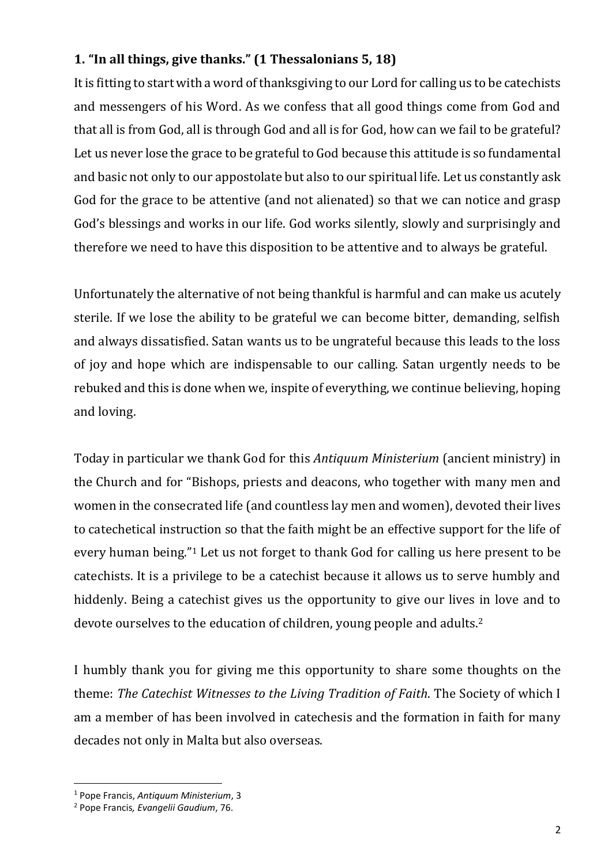# **1. "In all things, give thanks." (1 Thessalonians 5, 18)**

It is fitting to start with a word of thanksgiving to our Lord for calling us to be catechists and messengers of his Word. As we confess that all good things come from God and that all is from God, all is through God and all is for God, how can we fail to be grateful? Let us never lose the grace to be grateful to God because this attitude is so fundamental and basic not only to our appostolate but also to our spiritual life. Let us constantly ask God for the grace to be attentive (and not alienated) so that we can notice and grasp God's blessings and works in our life. God works silently, slowly and surprisingly and therefore we need to have this disposition to be attentive and to always be grateful.

Unfortunately the alternative of not being thankful is harmful and can make us acutely sterile. If we lose the ability to be grateful we can become bitter, demanding, selfish and always dissatisfied. Satan wants us to be ungrateful because this leads to the loss of joy and hope which are indispensable to our calling. Satan urgently needs to be rebuked and this is done when we, inspite of everything, we continue believing, hoping and loving.

Today in particular we thank God for this *Antiquum Ministerium* (ancient ministry) in the Church and for "Bishops, priests and deacons, who together with many men and women in the consecrated life (and countless lay men and women), devoted their lives to catechetical instruction so that the faith might be an effective support for the life of every human being."<sup>1</sup> Let us not forget to thank God for calling us here present to be catechists. It is a privilege to be a catechist because it allows us to serve humbly and hiddenly. Being a catechist gives us the opportunity to give our lives in love and to devote ourselves to the education of children, young people and adults.<sup>2</sup>

I humbly thank you for giving me this opportunity to share some thoughts on the theme: *The Catechist Witnesses to the Living Tradition of Faith*. The Society of which I am a member of has been involved in catechesis and the formation in faith for many decades not only in Malta but also overseas.

<sup>1</sup> Pope Francis, *Antiquum Ministerium*, 3

<sup>2</sup> Pope Francis*, Evangelii Gaudium*, 76.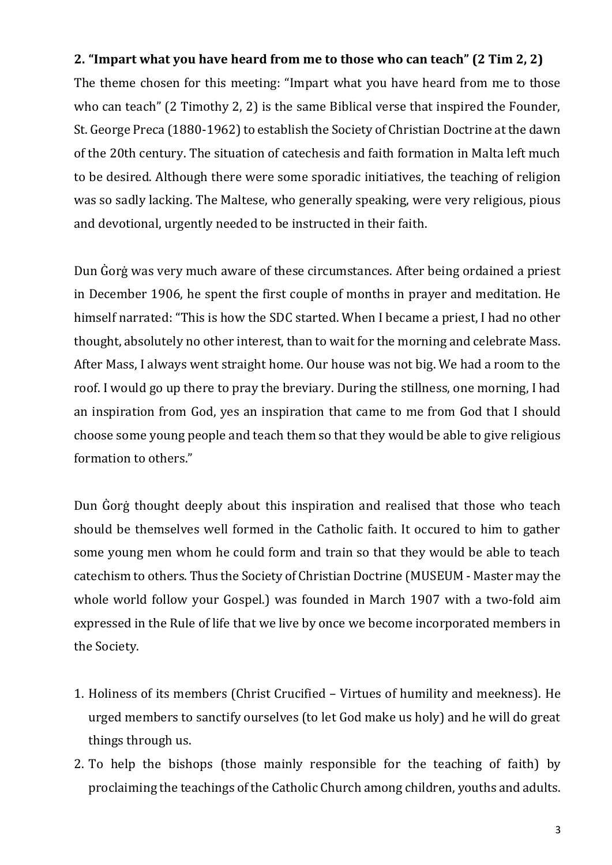### **2. "Impart what you have heard from me to those who can teach" (2 Tim 2, 2)**

The theme chosen for this meeting: "Impart what you have heard from me to those who can teach" (2 Timothy 2, 2) is the same Biblical verse that inspired the Founder, St. George Preca (1880-1962) to establish the Society of Christian Doctrine at the dawn of the 20th century. The situation of catechesis and faith formation in Malta left much to be desired. Although there were some sporadic initiatives, the teaching of religion was so sadly lacking. The Maltese, who generally speaking, were very religious, pious and devotional, urgently needed to be instructed in their faith.

Dun Ġorġ was very much aware of these circumstances. After being ordained a priest in December 1906, he spent the first couple of months in prayer and meditation. He himself narrated: "This is how the SDC started. When I became a priest, I had no other thought, absolutely no other interest, than to wait for the morning and celebrate Mass. After Mass, I always went straight home. Our house was not big. We had a room to the roof. I would go up there to pray the breviary. During the stillness, one morning, I had an inspiration from God, yes an inspiration that came to me from God that I should choose some young people and teach them so that they would be able to give religious formation to others."

Dun Ġorġ thought deeply about this inspiration and realised that those who teach should be themselves well formed in the Catholic faith. It occured to him to gather some young men whom he could form and train so that they would be able to teach catechism to others. Thus the Society of Christian Doctrine (MUSEUM - Master may the whole world follow your Gospel.) was founded in March 1907 with a two-fold aim expressed in the Rule of life that we live by once we become incorporated members in the Society.

- 1. Holiness of its members (Christ Crucified Virtues of humility and meekness). He urged members to sanctify ourselves (to let God make us holy) and he will do great things through us.
- 2. To help the bishops (those mainly responsible for the teaching of faith) by proclaiming the teachings of the Catholic Church among children, youths and adults.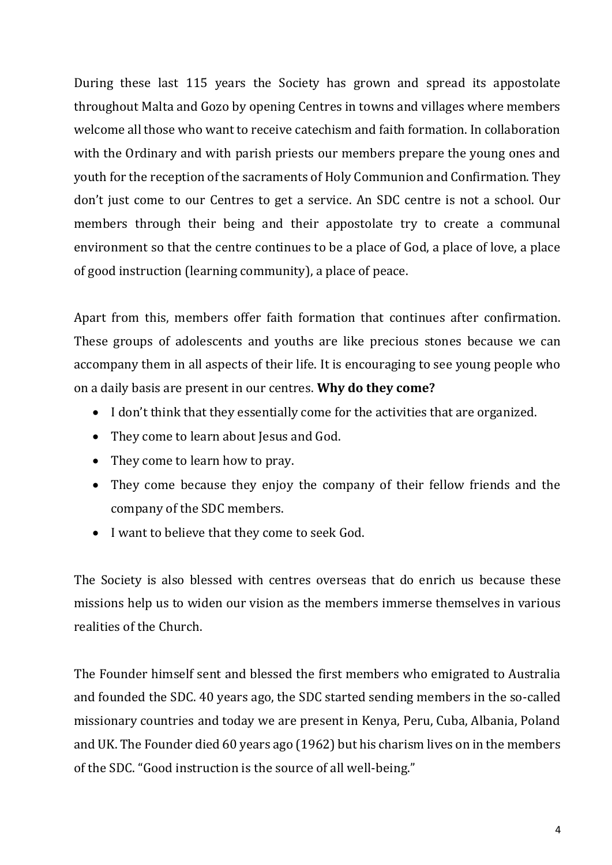During these last 115 years the Society has grown and spread its appostolate throughout Malta and Gozo by opening Centres in towns and villages where members welcome all those who want to receive catechism and faith formation. In collaboration with the Ordinary and with parish priests our members prepare the young ones and youth for the reception of the sacraments of Holy Communion and Confirmation. They don't just come to our Centres to get a service. An SDC centre is not a school. Our members through their being and their appostolate try to create a communal environment so that the centre continues to be a place of God, a place of love, a place of good instruction (learning community), a place of peace.

Apart from this, members offer faith formation that continues after confirmation. These groups of adolescents and youths are like precious stones because we can accompany them in all aspects of their life. It is encouraging to see young people who on a daily basis are present in our centres. **Why do they come?**

- I don't think that they essentially come for the activities that are organized.
- They come to learn about Jesus and God.
- They come to learn how to pray.
- They come because they enjoy the company of their fellow friends and the company of the SDC members.
- I want to believe that they come to seek God.

The Society is also blessed with centres overseas that do enrich us because these missions help us to widen our vision as the members immerse themselves in various realities of the Church.

The Founder himself sent and blessed the first members who emigrated to Australia and founded the SDC. 40 years ago, the SDC started sending members in the so-called missionary countries and today we are present in Kenya, Peru, Cuba, Albania, Poland and UK. The Founder died 60 years ago (1962) but his charism lives on in the members of the SDC. "Good instruction is the source of all well-being."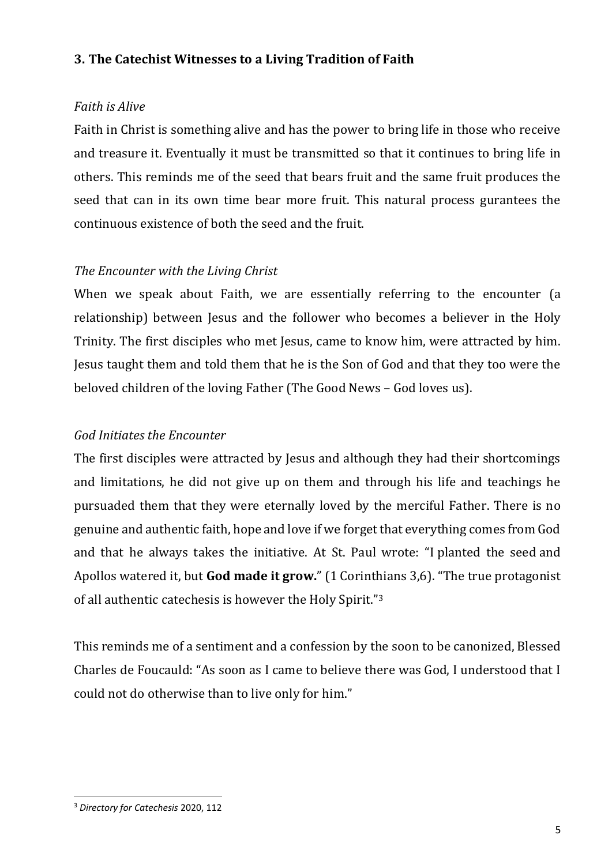### **3. The Catechist Witnesses to a Living Tradition of Faith**

### *Faith is Alive*

Faith in Christ is something alive and has the power to bring life in those who receive and treasure it. Eventually it must be transmitted so that it continues to bring life in others. This reminds me of the seed that bears fruit and the same fruit produces the seed that can in its own time bear more fruit. This natural process gurantees the continuous existence of both the seed and the fruit.

### *The Encounter with the Living Christ*

When we speak about Faith, we are essentially referring to the encounter (a relationship) between Jesus and the follower who becomes a believer in the Holy Trinity. The first disciples who met Jesus, came to know him, were attracted by him. Jesus taught them and told them that he is the Son of God and that they too were the beloved children of the loving Father (The Good News – God loves us).

### *God Initiates the Encounter*

The first disciples were attracted by Jesus and although they had their shortcomings and limitations, he did not give up on them and through his life and teachings he pursuaded them that they were eternally loved by the merciful Father. There is no genuine and authentic faith, hope and love if we forget that everything comes from God and that he always takes the initiative. At St. Paul wrote: "[I](https://biblehub.com/greek/1473.htm) [planted the seed](https://biblehub.com/greek/5452.htm) [and](https://biblehub.com/greek/625.htm)  [Apollos](https://biblehub.com/greek/625.htm) [watered it,](https://biblehub.com/greek/4222.htm) [but](https://biblehub.com/greek/235.htm) **[God](https://biblehub.com/greek/2316.htm) [made it grow.](https://biblehub.com/greek/837.htm)**" (1 Corinthians 3,6). "The true protagonist of all authentic catechesis is however the Holy Spirit."<sup>3</sup>

This reminds me of a sentiment and a confession by the soon to be canonized, Blessed Charles de Foucauld: "As soon as I came to believe there was God, I understood that I could not do otherwise than to live only for him."

<sup>3</sup> *Directory for Catechesis* 2020, 112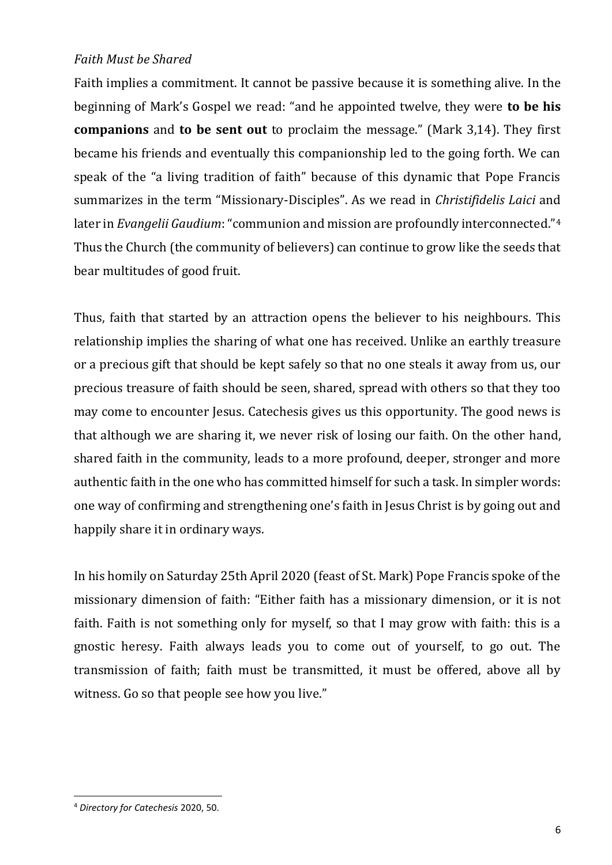#### *Faith Must be Shared*

Faith implies a commitment. It cannot be passive because it is something alive. In the beginning of Mark's Gospel we read: "and he appointed twelve, they were **to be his companions** and **to be sent out** to proclaim the message." (Mark 3,14). They first became his friends and eventually this companionship led to the going forth. We can speak of the "a living tradition of faith" because of this dynamic that Pope Francis summarizes in the term "Missionary-Disciples". As we read in *Christifidelis Laici* and later in *Evangelii Gaudium*: "communion and mission are profoundly interconnected."<sup>4</sup> Thus the Church (the community of believers) can continue to grow like the seeds that bear multitudes of good fruit.

Thus, faith that started by an attraction opens the believer to his neighbours. This relationship implies the sharing of what one has received. Unlike an earthly treasure or a precious gift that should be kept safely so that no one steals it away from us, our precious treasure of faith should be seen, shared, spread with others so that they too may come to encounter Jesus. Catechesis gives us this opportunity. The good news is that although we are sharing it, we never risk of losing our faith. On the other hand, shared faith in the community, leads to a more profound, deeper, stronger and more authentic faith in the one who has committed himself for such a task. In simpler words: one way of confirming and strengthening one's faith in Jesus Christ is by going out and happily share it in ordinary ways.

In his homily on Saturday 25th April 2020 (feast of St. Mark) Pope Francis spoke of the missionary dimension of faith: "Either faith has a missionary dimension, or it is not faith. Faith is not something only for myself, so that I may grow with faith: this is a gnostic heresy. Faith always leads you to come out of yourself, to go out. The transmission of faith; faith must be transmitted, it must be offered, above all by witness. Go so that people see how you live."

<sup>4</sup> *Directory for Catechesis* 2020, 50.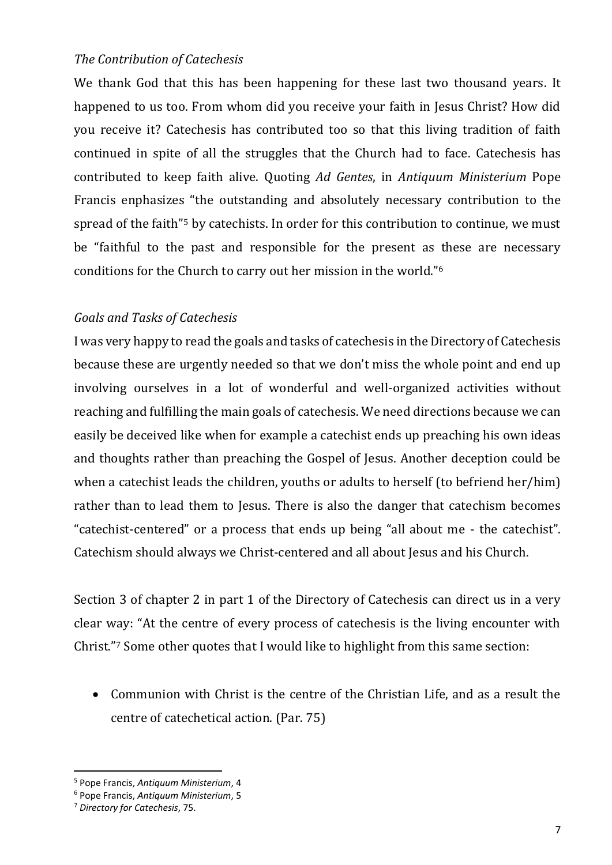#### *The Contribution of Catechesis*

We thank God that this has been happening for these last two thousand years. It happened to us too. From whom did you receive your faith in Jesus Christ? How did you receive it? Catechesis has contributed too so that this living tradition of faith continued in spite of all the struggles that the Church had to face. Catechesis has contributed to keep faith alive. Quoting *Ad Gentes*, in *Antiquum Ministerium* Pope Francis enphasizes "the outstanding and absolutely necessary contribution to the spread of the faith<sup>"5</sup> by catechists. In order for this contribution to continue, we must be "faithful to the past and responsible for the present as these are necessary conditions for the Church to carry out her mission in the world."<sup>6</sup>

### *Goals and Tasks of Catechesis*

I was very happy to read the goals and tasks of catechesis in the Directory of Catechesis because these are urgently needed so that we don't miss the whole point and end up involving ourselves in a lot of wonderful and well-organized activities without reaching and fulfilling the main goals of catechesis. We need directions because we can easily be deceived like when for example a catechist ends up preaching his own ideas and thoughts rather than preaching the Gospel of Jesus. Another deception could be when a catechist leads the children, youths or adults to herself (to befriend her/him) rather than to lead them to Jesus. There is also the danger that catechism becomes "catechist-centered" or a process that ends up being "all about me - the catechist". Catechism should always we Christ-centered and all about Jesus and his Church.

Section 3 of chapter 2 in part 1 of the Directory of Catechesis can direct us in a very clear way: "At the centre of every process of catechesis is the living encounter with Christ." <sup>7</sup> Some other quotes that I would like to highlight from this same section:

• Communion with Christ is the centre of the Christian Life, and as a result the centre of catechetical action. (Par. 75)

<sup>5</sup> Pope Francis, *Antiquum Ministerium*, 4

<sup>6</sup> Pope Francis, *Antiquum Ministerium*, 5

<sup>7</sup> *Directory for Catechesis*, 75.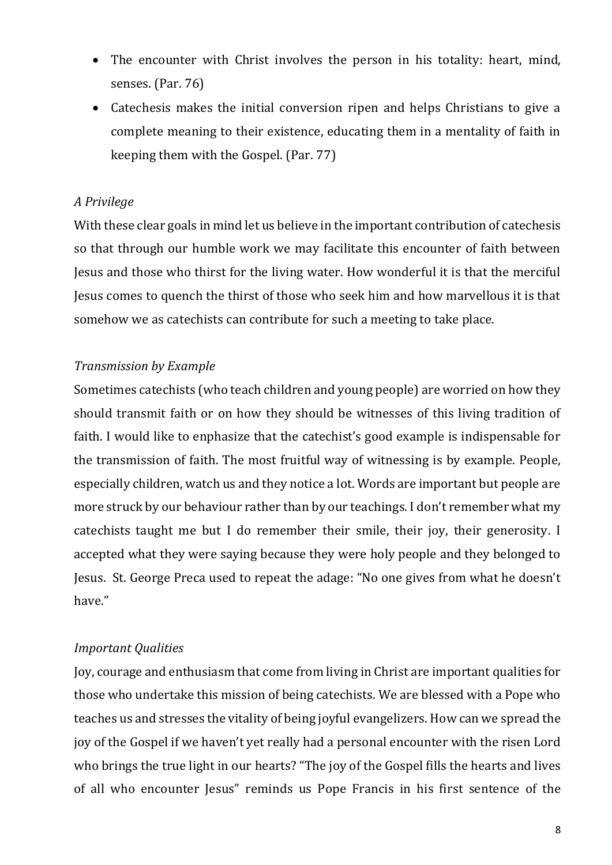- The encounter with Christ involves the person in his totality: heart, mind, senses. (Par. 76)
- Catechesis makes the initial conversion ripen and helps Christians to give a complete meaning to their existence, educating them in a mentality of faith in keeping them with the Gospel. (Par. 77)

#### *A Privilege*

With these clear goals in mind let us believe in the important contribution of catechesis so that through our humble work we may facilitate this encounter of faith between Jesus and those who thirst for the living water. How wonderful it is that the merciful Jesus comes to quench the thirst of those who seek him and how marvellous it is that somehow we as catechists can contribute for such a meeting to take place.

### *Transmission by Example*

Sometimes catechists (who teach children and young people) are worried on how they should transmit faith or on how they should be witnesses of this living tradition of faith. I would like to enphasize that the catechist's good example is indispensable for the transmission of faith. The most fruitful way of witnessing is by example. People, especially children, watch us and they notice a lot. Words are important but people are more struck by our behaviour rather than by our teachings. I don't remember what my catechists taught me but I do remember their smile, their joy, their generosity. I accepted what they were saying because they were holy people and they belonged to Jesus. St. George Preca used to repeat the adage: "No one gives from what he doesn't have."

#### *Important Qualities*

Joy, courage and enthusiasm that come from living in Christ are important qualities for those who undertake this mission of being catechists. We are blessed with a Pope who teaches us and stresses the vitality of being joyful evangelizers. How can we spread the joy of the Gospel if we haven't yet really had a personal encounter with the risen Lord who brings the true light in our hearts? "The joy of the Gospel fills the hearts and lives of all who encounter Jesus" reminds us Pope Francis in his first sentence of the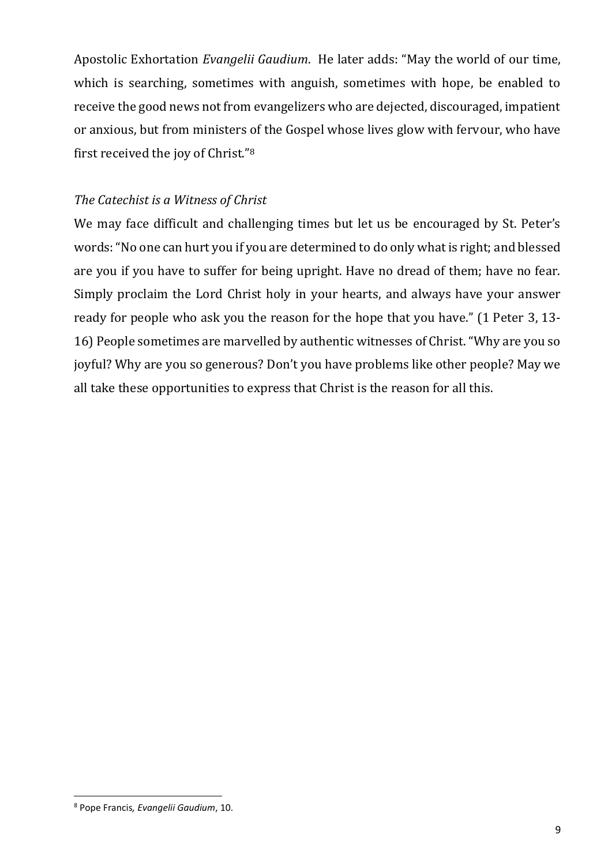Apostolic Exhortation *Evangelii Gaudium*. He later adds: "May the world of our time, which is searching, sometimes with anguish, sometimes with hope, be enabled to receive the good news not from evangelizers who are dejected, discouraged, impatient or anxious, but from ministers of the Gospel whose lives glow with fervour, who have first received the joy of Christ."<sup>8</sup>

### *The Catechist is a Witness of Christ*

We may face difficult and challenging times but let us be encouraged by St. Peter's words: "No one can hurt you if you are determined to do only what is right; and blessed are you if you have to suffer for being upright. Have no dread of them; have no fear. Simply proclaim the Lord Christ holy in your hearts, and always have your answer ready for people who ask you the reason for the hope that you have." (1 Peter 3, 13- 16) People sometimes are marvelled by authentic witnesses of Christ. "Why are you so joyful? Why are you so generous? Don't you have problems like other people? May we all take these opportunities to express that Christ is the reason for all this.

<sup>8</sup> Pope Francis*, Evangelii Gaudium*, 10.